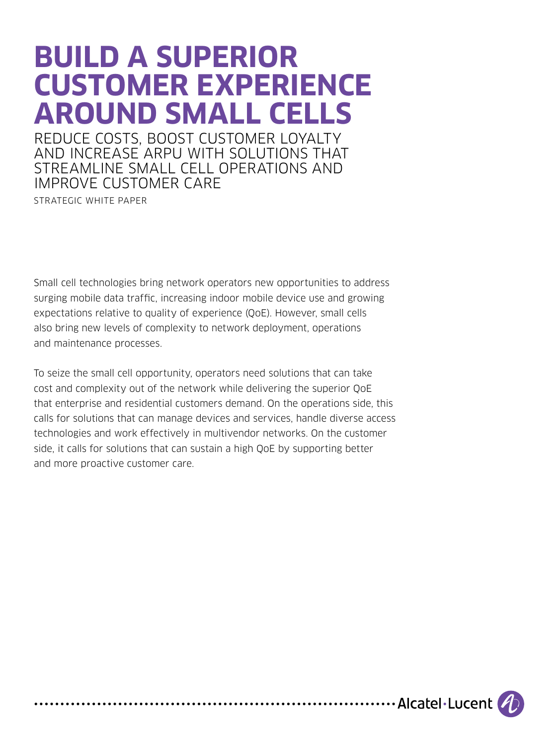# **BUILD A SUPERIOR CUSTOMER EXPERIENCE AROUND SMALL CELLS**

REDUCE COSTS, BOOST CUSTOMER LOYALTY AND INCREASE ARPU WITH SOLUTIONS THAT STREAMLINE SMALL CELL OPERATIONS AND IMPROVE CUSTOMER CARE

STRATEGIC WHITE PAPER

Small cell technologies bring network operators new opportunities to address surging mobile data traffic, increasing indoor mobile device use and growing expectations relative to quality of experience (QoE). However, small cells also bring new levels of complexity to network deployment, operations and maintenance processes.

To seize the small cell opportunity, operators need solutions that can take cost and complexity out of the network while delivering the superior QoE that enterprise and residential customers demand. On the operations side, this calls for solutions that can manage devices and services, handle diverse access technologies and work effectively in multivendor networks. On the customer side, it calls for solutions that can sustain a high QoE by supporting better and more proactive customer care.

.................... Alcatel Lucent (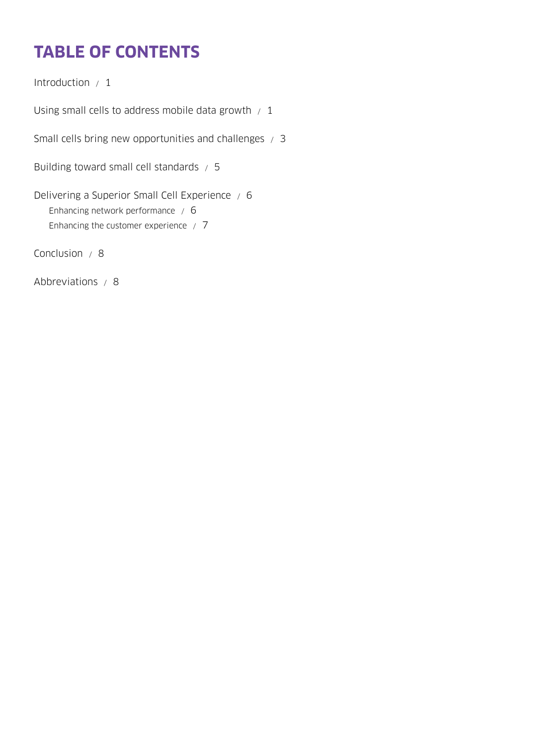## **TABLE OF CONTENTS**

[Introduction / 1](#page-2-0)

Using small cells to address mobile data growth  $/1$ 

[Small cells bring new opportunities and challenges / 3](#page-4-0)

[Building toward small cell standards / 5](#page-6-0)

[Delivering a Superior Small Cell Experience / 6](#page-7-0) [Enhancing network performance / 6](#page-7-0) [Enhancing the customer experience / 7](#page-8-0)

[Conclusion / 8](#page-9-0)

[Abbreviations / 8](#page-9-0)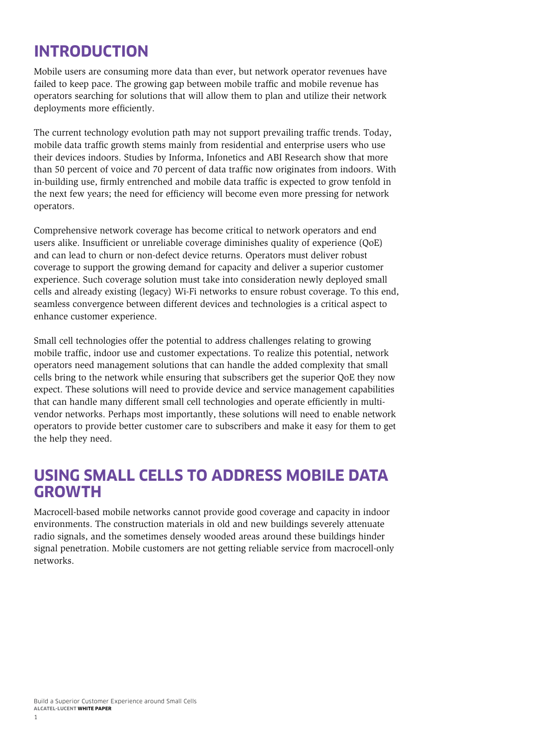### <span id="page-2-0"></span>**INTRODUCTION**

Mobile users are consuming more data than ever, but network operator revenues have failed to keep pace. The growing gap between mobile traffic and mobile revenue has operators searching for solutions that will allow them to plan and utilize their network deployments more efficiently.

The current technology evolution path may not support prevailing traffic trends. Today, mobile data traffic growth stems mainly from residential and enterprise users who use their devices indoors. Studies by Informa, Infonetics and ABI Research show that more than 50 percent of voice and 70 percent of data traffic now originates from indoors. With in-building use, firmly entrenched and mobile data traffic is expected to grow tenfold in the next few years; the need for efficiency will become even more pressing for network operators.

Comprehensive network coverage has become critical to network operators and end users alike. Insufficient or unreliable coverage diminishes quality of experience (QoE) and can lead to churn or non-defect device returns. Operators must deliver robust coverage to support the growing demand for capacity and deliver a superior customer experience. Such coverage solution must take into consideration newly deployed small cells and already existing (legacy) Wi-Fi networks to ensure robust coverage. To this end, seamless convergence between different devices and technologies is a critical aspect to enhance customer experience.

Small cell technologies offer the potential to address challenges relating to growing mobile traffic, indoor use and customer expectations. To realize this potential, network operators need management solutions that can handle the added complexity that small cells bring to the network while ensuring that subscribers get the superior QoE they now expect. These solutions will need to provide device and service management capabilities that can handle many different small cell technologies and operate efficiently in multivendor networks. Perhaps most importantly, these solutions will need to enable network operators to provide better customer care to subscribers and make it easy for them to get the help they need.

#### **USING SMALL CELLS TO ADDRESS MOBILE DATA GROWTH**

Macrocell-based mobile networks cannot provide good coverage and capacity in indoor environments. The construction materials in old and new buildings severely attenuate radio signals, and the sometimes densely wooded areas around these buildings hinder signal penetration. Mobile customers are not getting reliable service from macrocell-only networks.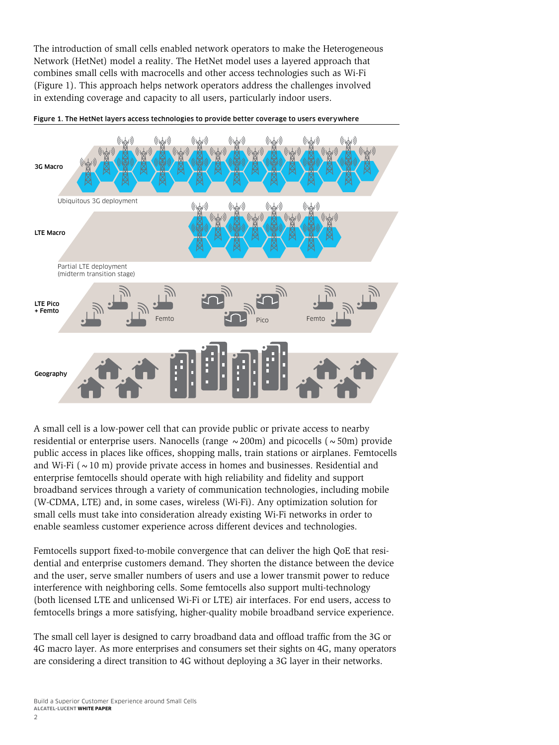The introduction of small cells enabled network operators to make the Heterogeneous Network (HetNet) model a reality. The HetNet model uses a layered approach that combines small cells with macrocells and other access technologies such as Wi-Fi (Figure 1). This approach helps network operators address the challenges involved in extending coverage and capacity to all users, particularly indoor users.



Figure 1. The HetNet layers access technologies to provide better coverage to users everywhere

A small cell is a low-power cell that can provide public or private access to nearby residential or enterprise users. Nanocells (range  $\sim$  200m) and picocells ( $\sim$  50m) provide public access in places like offices, shopping malls, train stations or airplanes. Femtocells and Wi-Fi ( $\sim$  10 m) provide private access in homes and businesses. Residential and enterprise femtocells should operate with high reliability and fidelity and support broadband services through a variety of communication technologies, including mobile (W-CDMA, LTE) and, in some cases, wireless (Wi-Fi). Any optimization solution for small cells must take into consideration already existing Wi-Fi networks in order to enable seamless customer experience across different devices and technologies.

Femtocells support fixed-to-mobile convergence that can deliver the high QoE that residential and enterprise customers demand. They shorten the distance between the device and the user, serve smaller numbers of users and use a lower transmit power to reduce interference with neighboring cells. Some femtocells also support multi-technology (both licensed LTE and unlicensed Wi-Fi or LTE) air interfaces. For end users, access to femtocells brings a more satisfying, higher-quality mobile broadband service experience.

The small cell layer is designed to carry broadband data and offload traffic from the 3G or 4G macro layer. As more enterprises and consumers set their sights on 4G, many operators are considering a direct transition to 4G without deploying a 3G layer in their networks.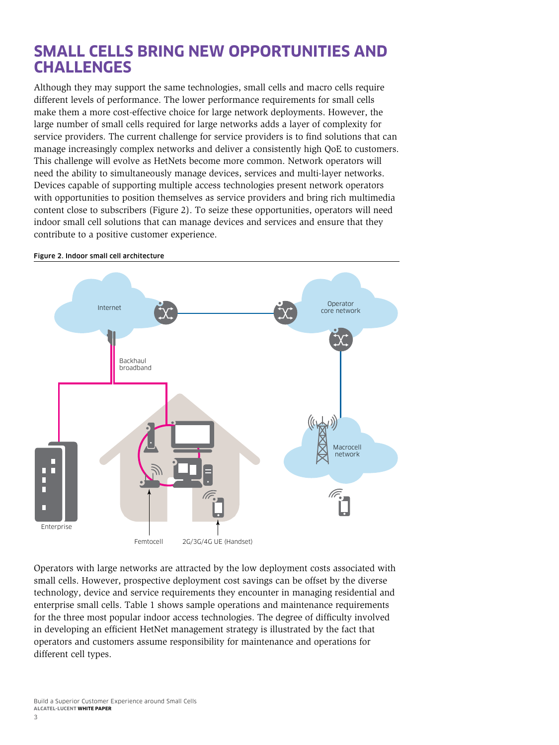#### <span id="page-4-0"></span>**SMALL CELLS BRING NEW OPPORTUNITIES AND CHALLENGES**

Although they may support the same technologies, small cells and macro cells require different levels of performance. The lower performance requirements for small cells make them a more cost-effective choice for large network deployments. However, the large number of small cells required for large networks adds a layer of complexity for service providers. The current challenge for service providers is to find solutions that can manage increasingly complex networks and deliver a consistently high QoE to customers. This challenge will evolve as HetNets become more common. Network operators will need the ability to simultaneously manage devices, services and multi-layer networks. Devices capable of supporting multiple access technologies present network operators with opportunities to position themselves as service providers and bring rich multimedia content close to subscribers (Figure 2). To seize these opportunities, operators will need indoor small cell solutions that can manage devices and services and ensure that they contribute to a positive customer experience.



Figure 2. Indoor small cell architecture

Operators with large networks are attracted by the low deployment costs associated with small cells. However, prospective deployment cost savings can be offset by the diverse technology, device and service requirements they encounter in managing residential and enterprise small cells. Table 1 shows sample operations and maintenance requirements for the three most popular indoor access technologies. The degree of difficulty involved in developing an efficient HetNet management strategy is illustrated by the fact that operators and customers assume responsibility for maintenance and operations for different cell types.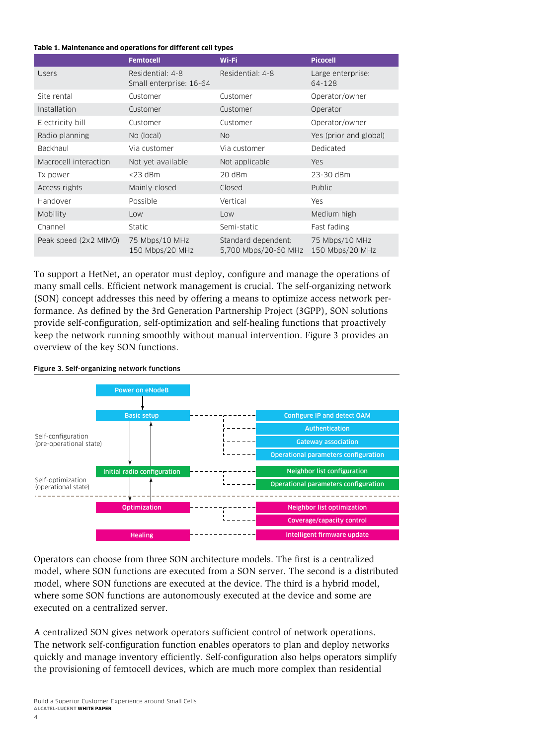#### **Table 1. Maintenance and operations for different cell types**

|                       | <b>Femtocell</b>                            | Wi-Fi                                       | <b>Picocell</b>                   |
|-----------------------|---------------------------------------------|---------------------------------------------|-----------------------------------|
| <b>Users</b>          | Residential: 4-8<br>Small enterprise: 16-64 | Residential: 4-8                            | Large enterprise:<br>64-128       |
| Site rental           | Customer                                    | Customer                                    | Operator/owner                    |
| Installation          | Customer                                    | Customer                                    | Operator                          |
| Electricity bill      | Customer                                    | Customer                                    | Operator/owner                    |
| Radio planning        | No (local)                                  | No.                                         | Yes (prior and global)            |
| Backhaul              | Via customer                                | Via customer                                | Dedicated                         |
| Macrocell interaction | Not yet available                           | Not applicable                              | <b>Yes</b>                        |
| Tx power              | $<$ 23 dBm                                  | 20 dBm                                      | 23-30 dBm                         |
| Access rights         | Mainly closed                               | Closed                                      | Public                            |
| Handover              | Possible                                    | Vertical                                    | <b>Yes</b>                        |
| Mobility              | Low                                         | Low                                         | Medium high                       |
| Channel               | Static                                      | Semi-static                                 | Fast fading                       |
| Peak speed (2x2 MIMO) | 75 Mbps/10 MHz<br>150 Mbps/20 MHz           | Standard dependent:<br>5,700 Mbps/20-60 MHz | 75 Mbps/10 MHz<br>150 Mbps/20 MHz |

To support a HetNet, an operator must deploy, configure and manage the operations of many small cells. Efficient network management is crucial. The self-organizing network (SON) concept addresses this need by offering a means to optimize access network performance. As defined by the 3rd Generation Partnership Project (3GPP), SON solutions provide self-configuration, self-optimization and self-healing functions that proactively keep the network running smoothly without manual intervention. Figure 3 provides an overview of the key SON functions.



#### Figure 3. Self-organizing network functions

Operators can choose from three SON architecture models. The first is a centralized model, where SON functions are executed from a SON server. The second is a distributed model, where SON functions are executed at the device. The third is a hybrid model, where some SON functions are autonomously executed at the device and some are executed on a centralized server.

A centralized SON gives network operators sufficient control of network operations. The network self-configuration function enables operators to plan and deploy networks quickly and manage inventory efficiently. Self-configuration also helps operators simplify the provisioning of femtocell devices, which are much more complex than residential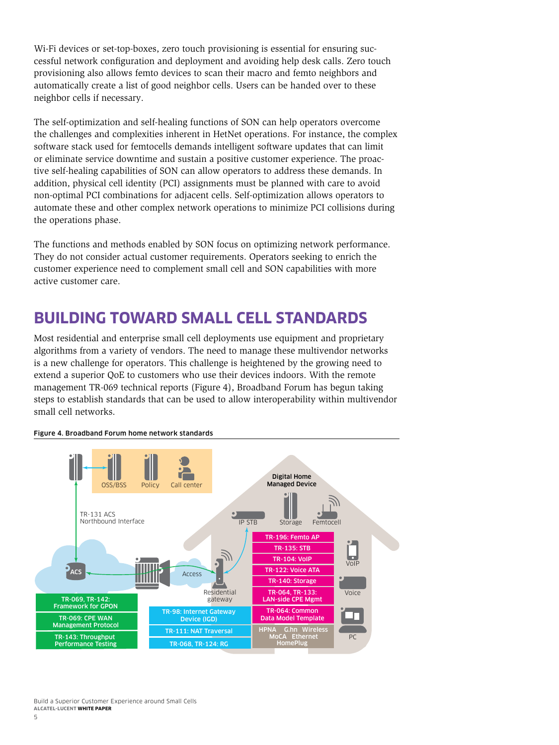<span id="page-6-0"></span>Wi-Fi devices or set-top-boxes, zero touch provisioning is essential for ensuring successful network configuration and deployment and avoiding help desk calls. Zero touch provisioning also allows femto devices to scan their macro and femto neighbors and automatically create a list of good neighbor cells. Users can be handed over to these neighbor cells if necessary.

The self-optimization and self-healing functions of SON can help operators overcome the challenges and complexities inherent in HetNet operations. For instance, the complex software stack used for femtocells demands intelligent software updates that can limit or eliminate service downtime and sustain a positive customer experience. The proactive self-healing capabilities of SON can allow operators to address these demands. In addition, physical cell identity (PCI) assignments must be planned with care to avoid non-optimal PCI combinations for adjacent cells. Self-optimization allows operators to automate these and other complex network operations to minimize PCI collisions during the operations phase.

The functions and methods enabled by SON focus on optimizing network performance. They do not consider actual customer requirements. Operators seeking to enrich the customer experience need to complement small cell and SON capabilities with more active customer care.

### **BUILDING TOWARD SMALL CELL STANDARDS**

Most residential and enterprise small cell deployments use equipment and proprietary algorithms from a variety of vendors. The need to manage these multivendor networks is a new challenge for operators. This challenge is heightened by the growing need to extend a superior QoE to customers who use their devices indoors. With the remote management TR-069 technical reports (Figure 4), Broadband Forum has begun taking steps to establish standards that can be used to allow interoperability within multivendor small cell networks.



#### Figure 4. Broadband Forum home network standards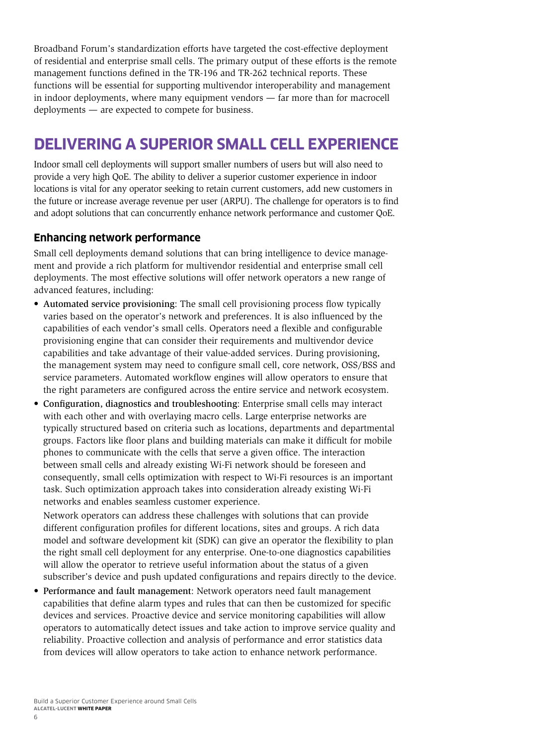<span id="page-7-0"></span>Broadband Forum's standardization efforts have targeted the cost-effective deployment of residential and enterprise small cells. The primary output of these efforts is the remote management functions defined in the TR-196 and TR-262 technical reports. These functions will be essential for supporting multivendor interoperability and management in indoor deployments, where many equipment vendors — far more than for macrocell deployments — are expected to compete for business.

### **DELIVERING A SUPERIOR SMALL CELL EXPERIENCE**

Indoor small cell deployments will support smaller numbers of users but will also need to provide a very high QoE. The ability to deliver a superior customer experience in indoor locations is vital for any operator seeking to retain current customers, add new customers in the future or increase average revenue per user (ARPU). The challenge for operators is to find and adopt solutions that can concurrently enhance network performance and customer QoE.

#### **Enhancing network performance**

Small cell deployments demand solutions that can bring intelligence to device management and provide a rich platform for multivendor residential and enterprise small cell deployments. The most effective solutions will offer network operators a new range of advanced features, including:

- Automated service provisioning: The small cell provisioning process flow typically varies based on the operator's network and preferences. It is also influenced by the capabilities of each vendor's small cells. Operators need a flexible and configurable provisioning engine that can consider their requirements and multivendor device capabilities and take advantage of their value-added services. During provisioning, the management system may need to configure small cell, core network, OSS/BSS and service parameters. Automated workflow engines will allow operators to ensure that the right parameters are configured across the entire service and network ecosystem.
- Configuration, diagnostics and troubleshooting: Enterprise small cells may interact with each other and with overlaying macro cells. Large enterprise networks are typically structured based on criteria such as locations, departments and departmental groups. Factors like floor plans and building materials can make it difficult for mobile phones to communicate with the cells that serve a given office. The interaction between small cells and already existing Wi-Fi network should be foreseen and consequently, small cells optimization with respect to Wi-Fi resources is an important task. Such optimization approach takes into consideration already existing Wi-Fi networks and enables seamless customer experience.

Network operators can address these challenges with solutions that can provide different configuration profiles for different locations, sites and groups. A rich data model and software development kit (SDK) can give an operator the flexibility to plan the right small cell deployment for any enterprise. One-to-one diagnostics capabilities will allow the operator to retrieve useful information about the status of a given subscriber's device and push updated configurations and repairs directly to the device.

• Performance and fault management: Network operators need fault management capabilities that define alarm types and rules that can then be customized for specific devices and services. Proactive device and service monitoring capabilities will allow operators to automatically detect issues and take action to improve service quality and reliability. Proactive collection and analysis of performance and error statistics data from devices will allow operators to take action to enhance network performance.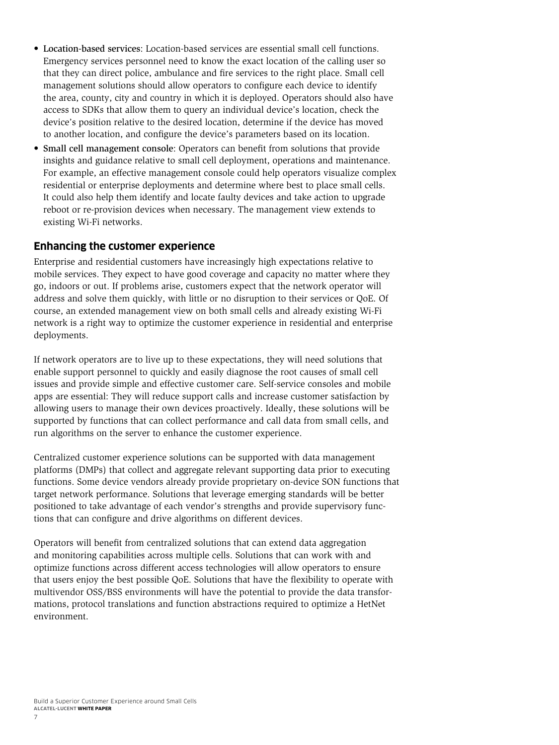- <span id="page-8-0"></span>• Location-based services: Location-based services are essential small cell functions. Emergency services personnel need to know the exact location of the calling user so that they can direct police, ambulance and fire services to the right place. Small cell management solutions should allow operators to configure each device to identify the area, county, city and country in which it is deployed. Operators should also have access to SDKs that allow them to query an individual device's location, check the device's position relative to the desired location, determine if the device has moved to another location, and configure the device's parameters based on its location.
- Small cell management console: Operators can benefit from solutions that provide insights and guidance relative to small cell deployment, operations and maintenance. For example, an effective management console could help operators visualize complex residential or enterprise deployments and determine where best to place small cells. It could also help them identify and locate faulty devices and take action to upgrade reboot or re-provision devices when necessary. The management view extends to existing Wi-Fi networks.

#### **Enhancing the customer experience**

Enterprise and residential customers have increasingly high expectations relative to mobile services. They expect to have good coverage and capacity no matter where they go, indoors or out. If problems arise, customers expect that the network operator will address and solve them quickly, with little or no disruption to their services or QoE. Of course, an extended management view on both small cells and already existing Wi-Fi network is a right way to optimize the customer experience in residential and enterprise deployments.

If network operators are to live up to these expectations, they will need solutions that enable support personnel to quickly and easily diagnose the root causes of small cell issues and provide simple and effective customer care. Self-service consoles and mobile apps are essential: They will reduce support calls and increase customer satisfaction by allowing users to manage their own devices proactively. Ideally, these solutions will be supported by functions that can collect performance and call data from small cells, and run algorithms on the server to enhance the customer experience.

Centralized customer experience solutions can be supported with data management platforms (DMPs) that collect and aggregate relevant supporting data prior to executing functions. Some device vendors already provide proprietary on-device SON functions that target network performance. Solutions that leverage emerging standards will be better positioned to take advantage of each vendor's strengths and provide supervisory functions that can configure and drive algorithms on different devices.

Operators will benefit from centralized solutions that can extend data aggregation and monitoring capabilities across multiple cells. Solutions that can work with and optimize functions across different access technologies will allow operators to ensure that users enjoy the best possible QoE. Solutions that have the flexibility to operate with multivendor OSS/BSS environments will have the potential to provide the data transformations, protocol translations and function abstractions required to optimize a HetNet environment.